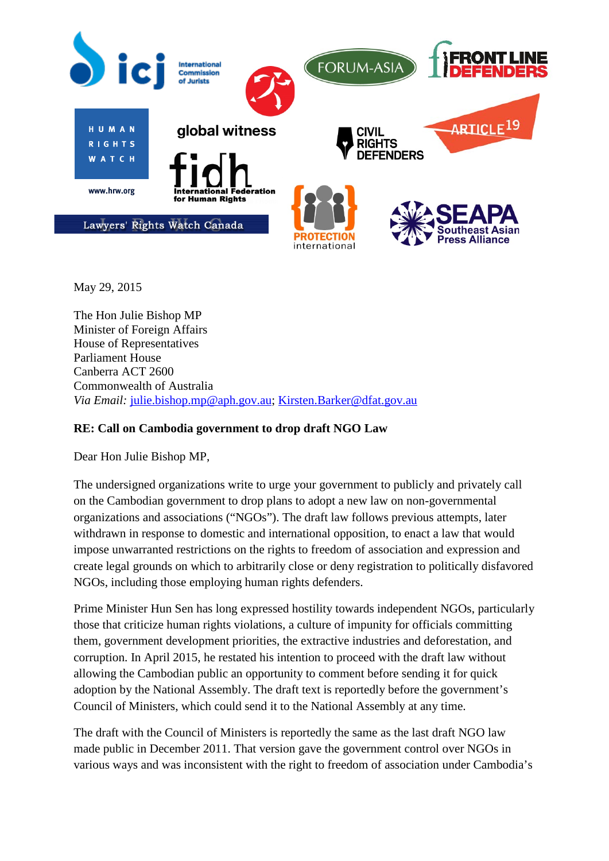

May 29, 2015

The Hon Julie Bishop MP Minister of Foreign Affairs House of Representatives Parliament House Canberra ACT 2600 Commonwealth of Australia *Via Email:* [julie.bishop.mp@aph.gov.au;](mailto:julie.bishop.mp@aph.gov.au) [Kirsten.Barker@dfat.gov.au](mailto:Kirsten.Barker@dfat.gov.au)

## **RE: Call on Cambodia government to drop draft NGO Law**

Dear Hon Julie Bishop MP,

The undersigned organizations write to urge your government to publicly and privately call on the Cambodian government to drop plans to adopt a new law on non-governmental organizations and associations ("NGOs"). The draft law follows previous attempts, later withdrawn in response to domestic and international opposition, to enact a law that would impose unwarranted restrictions on the rights to freedom of association and expression and create legal grounds on which to arbitrarily close or deny registration to politically disfavored NGOs, including those employing human rights defenders.

Prime Minister Hun Sen has long expressed hostility towards independent NGOs, particularly those that criticize human rights violations, a culture of impunity for officials committing them, government development priorities, the extractive industries and deforestation, and corruption. In April 2015, he restated his intention to proceed with the draft law without allowing the Cambodian public an opportunity to comment before sending it for quick adoption by the National Assembly. The draft text is reportedly before the government's Council of Ministers, which could send it to the National Assembly at any time.

The draft with the Council of Ministers is reportedly the same as the last draft NGO law made public in December 2011. That version gave the government control over NGOs in various ways and was inconsistent with the right to freedom of association under Cambodia's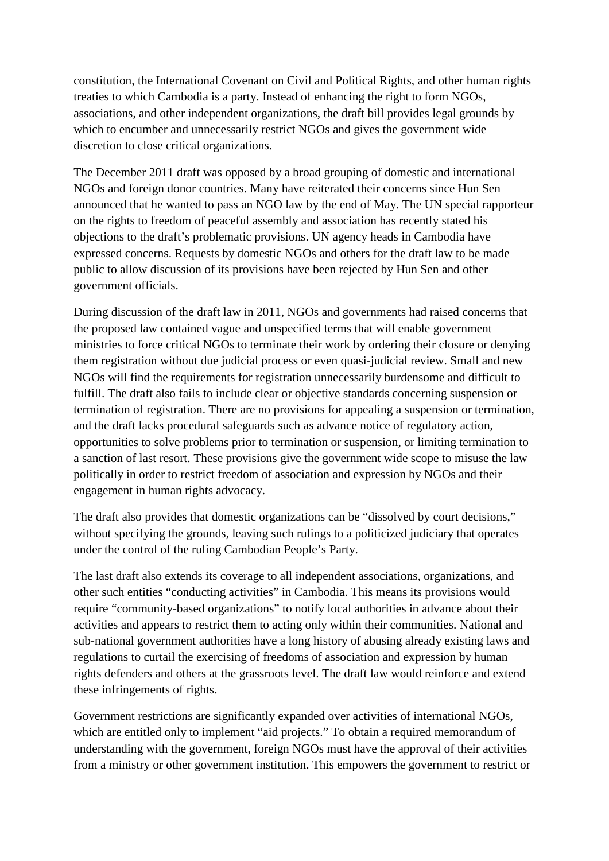constitution, the International Covenant on Civil and Political Rights, and other human rights treaties to which Cambodia is a party. Instead of enhancing the right to form NGOs, associations, and other independent organizations, the draft bill provides legal grounds by which to encumber and unnecessarily restrict NGOs and gives the government wide discretion to close critical organizations.

The December 2011 draft was opposed by a broad grouping of domestic and international NGOs and foreign donor countries. Many have reiterated their concerns since Hun Sen announced that he wanted to pass an NGO law by the end of May. The UN special rapporteur on the rights to freedom of peaceful assembly and association has recently stated his objections to the draft's problematic provisions. UN agency heads in Cambodia have expressed concerns. Requests by domestic NGOs and others for the draft law to be made public to allow discussion of its provisions have been rejected by Hun Sen and other government officials.

During discussion of the draft law in 2011, NGOs and governments had raised concerns that the proposed law contained vague and unspecified terms that will enable government ministries to force critical NGOs to terminate their work by ordering their closure or denying them registration without due judicial process or even quasi-judicial review. Small and new NGOs will find the requirements for registration unnecessarily burdensome and difficult to fulfill. The draft also fails to include clear or objective standards concerning suspension or termination of registration. There are no provisions for appealing a suspension or termination, and the draft lacks procedural safeguards such as advance notice of regulatory action, opportunities to solve problems prior to termination or suspension, or limiting termination to a sanction of last resort. These provisions give the government wide scope to misuse the law politically in order to restrict freedom of association and expression by NGOs and their engagement in human rights advocacy.

The draft also provides that domestic organizations can be "dissolved by court decisions," without specifying the grounds, leaving such rulings to a politicized judiciary that operates under the control of the ruling Cambodian People's Party.

The last draft also extends its coverage to all independent associations, organizations, and other such entities "conducting activities" in Cambodia. This means its provisions would require "community-based organizations" to notify local authorities in advance about their activities and appears to restrict them to acting only within their communities. National and sub-national government authorities have a long history of abusing already existing laws and regulations to curtail the exercising of freedoms of association and expression by human rights defenders and others at the grassroots level. The draft law would reinforce and extend these infringements of rights.

Government restrictions are significantly expanded over activities of international NGOs, which are entitled only to implement "aid projects." To obtain a required memorandum of understanding with the government, foreign NGOs must have the approval of their activities from a ministry or other government institution. This empowers the government to restrict or